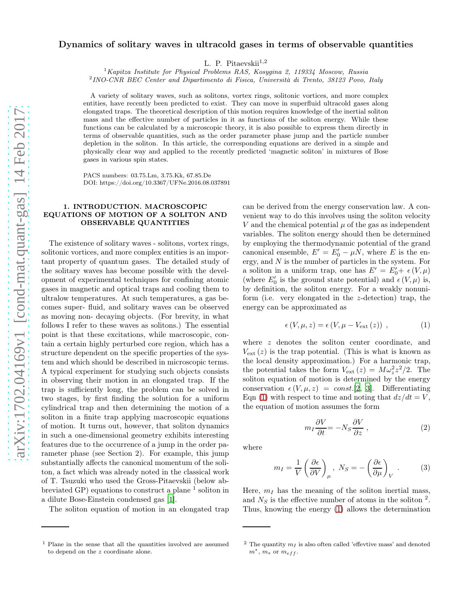# Dynamics of solitary waves in ultracold gases in terms of observable quantities

L. P. Pitaevskii $^{1,2}$ 

 $1$ Kapitza Institute for Physical Problems RAS, Kosygina 2, 119334 Moscow, Russia

 $^{2}$ INO-CNR BEC Center and Dipartimento di Fisica, Università di Trento, 38123 Povo, Italy

A variety of solitary waves, such as solitons, vortex rings, solitonic vortices, and more complex entities, have recently been predicted to exist. They can move in superfluid ultracold gases along elongated traps. The theoretical description of this motion requires knowledge of the inertial soliton mass and the effective number of particles in it as functions of the soliton energy. While these functions can be calculated by a microscopic theory, it is also possible to express them directly in terms of observable quantities, such as the order parameter phase jump and the particle number depletion in the soliton. In this article, the corresponding equations are derived in a simple and physically clear way and applied to the recently predicted 'magnetic soliton' in mixtures of Bose gases in various spin states.

PACS numbers: 03.75.Lm, 3.75.Kk, 67.85.De DOI: https://doi.org/10.3367/UFNe.2016.08.037891

# 1. INTRODUCTION. MACROSCOPIC EQUATIONS OF MOTION OF A SOLITON AND OBSERVABLE QUANTITIES

The existence of solitary waves - solitons, vortex rings, solitonic vortices, and more complex entities is an important property of quantum gases. The detailed study of the solitary waves has become possible with the development of experimental techniques for confining atomic gases in magnetic and optical traps and cooling them to ultralow temperatures. At such temperatures, a gas becomes super- fluid, and solitary waves can be observed as moving non- decaying objects. (For brevity, in what follows I refer to these waves as solitons.) The essential point is that these excitations, while macroscopic, contain a certain highly perturbed core region, which has a structure dependent on the specific properties of the system and which should be described in microscopic terms. A typical experiment for studying such objects consists in observing their motion in an elongated trap. If the trap is sufficiently long, the problem can be solved in two stages, by first finding the solution for a uniform cylindrical trap and then determining the motion of a soliton in a finite trap applying macroscopic equations of motion. It turns out, however, that soliton dynamics in such a one-dimensional geometry exhibits interesting features due to the occurrence of a jump in the order parameter phase (see Section 2). For example, this jump substantially affects the canonical momentum of the soliton, a fact which was already noted in the classical work of T. Tsuzuki who used the Gross-Pitaevskii (below abbreviated GP) equations to construct a plane  $\frac{1}{1}$  soliton in a dilute Bose-Einstein condensed gas [\[1\]](#page-5-0).

The soliton equation of motion in an elongated trap

can be derived from the energy conservation law. A convenient way to do this involves using the soliton velocity V and the chemical potential  $\mu$  of the gas as independent variables. The soliton energy should then be determined by employing the thermodynamic potential of the grand canonical ensemble,  $E' = E'_0 - \mu N$ , where E is the energy, and N is the number of particles in the system. For a soliton in a uniform trap, one has  $E' = E'_0 + \epsilon (V, \mu)$ (where  $E'_0$  is the ground state potential) and  $\epsilon(V,\mu)$  is, by definition, the soliton energy. For a weakly nonuniform (i.e. very elongated in the z-detection) trap, the energy can be approximated as

<span id="page-0-0"></span>
$$
\epsilon(V, \mu, z) = \epsilon(V, \mu - V_{ext}(z)), \qquad (1)
$$

where z denotes the soliton center coordinate, and  $V_{\text{ext}}(z)$  is the trap potential. (This is what is known as the local density approximation.) For a harmonic trap, the potential takes the form  $V_{ext}(z) = M \omega_z^2 z^2 / 2$ . The soliton equation of motion is determined by the energy conservation  $\epsilon(V, \mu, z) = const.$  [\[2](#page-5-1), [3](#page-5-2)]. Differentiating Eqn [\(1\)](#page-0-0) with respect to time and noting that  $dz/dt = V$ , the equation of motion assumes the form

<span id="page-0-2"></span>
$$
m_I \frac{\partial V}{\partial t} = -N_S \frac{\partial V}{\partial z} \,, \tag{2}
$$

where

<span id="page-0-1"></span>
$$
m_I = \frac{1}{V} \left( \frac{\partial \epsilon}{\partial V} \right)_{\mu}, \ N_S = - \left( \frac{\partial \epsilon}{\partial \mu} \right)_V. \tag{3}
$$

Here,  $m_I$  has the meaning of the soliton inertial mass, and  $N<sub>S</sub>$  is the effective number of atoms in the soliton <sup>2</sup>. Thus, knowing the energy [\(1\)](#page-0-0) allows the determination

<sup>1</sup> Plane in the sense that all the quantities involved are assumed to depend on the z coordinate alone.

<sup>&</sup>lt;sup>2</sup> The quantity  $m<sub>I</sub>$  is also often called 'effevtive mass' and denoted  $m^*$ ,  $m_s$  or  $m_{eff}$ .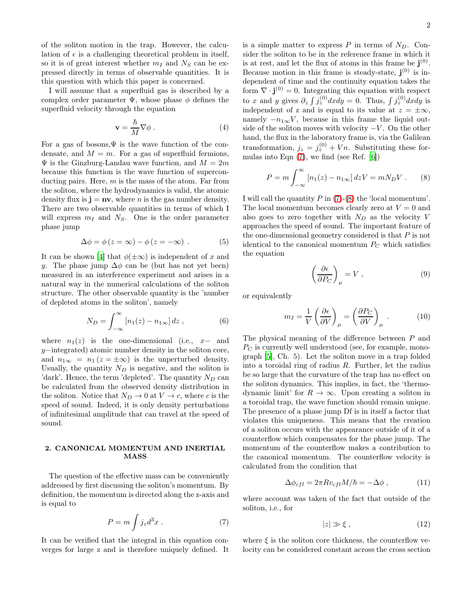of the soliton motion in the trap. However, the calculation of  $\epsilon$  is a challenging theoretical problem in itself, so it is of great interest whether  $m_I$  and  $N_S$  can be expressed directly in terms of observable quantities. It is this question with which this paper is concerned.

I will assume that a superfluid gas is described by a complex order parameter  $\Psi$ , whose phase  $\phi$  defines the superfluid velocity through the equation

$$
\mathbf{v} = \frac{\hbar}{M} \nabla \phi \,. \tag{4}
$$

For a gas of bosons,  $\Psi$  is the wave function of the condensate, and  $M = m$ . For a gas of superfluid fermions,  $\Psi$  is the Ginzburg-Landau wave function, and  $M = 2m$ because this function is the wave function of superconducting pairs. Here,  $m$  is the mass of the atom. Far from the soliton, where the hydrodynamics is valid, the atomic density flux is  $\mathbf{j} = \mathbf{n}\mathbf{v}$ , where *n* is the gas number density. There are two observable quantities in terms of which I will express  $m_I$  and  $N_S$ . One is the order parameter phase jump

$$
\Delta \phi = \phi (z = \infty) - \phi (z = -\infty) . \tag{5}
$$

It can be shown [\[4](#page-5-3)] that  $\phi(\pm\infty)$  is independent of x and y. The phase jump  $\Delta \phi$  can be (but has not yet been) measured in an interference experiment and arises in a natural way in the numerical calculations of the soliton structure. The other observable quantity is the 'number of depleted atoms in the soliton', namely

<span id="page-1-4"></span>
$$
N_D = \int_{-\infty}^{\infty} \left[ n_1(z) - n_{1\infty} \right] dz \,, \tag{6}
$$

where  $n_1(z)$  is the one-dimensional (i.e., x– and y−integrated) atomic number density in the soliton core, and  $n_{1\infty} = n_1 (z = \pm \infty)$  is the unperturbed density. Usually, the quantity  $N_D$  is negative, and the soliton is 'dark'. Hence, the term 'depleted'. The quantity  $N_D$  can be calculated from the observed density distribution in the soliton. Notice that  $N_D \to 0$  at  $V \to c$ , where c is the speed of sound. Indeed, it is only density perturbations of infinitesimal amplitude that can travel at the speed of sound.

## 2. CANONICAL MOMENTUM AND INERTIAL MASS

The question of the effective mass can be conveniently addressed by first discussing the soliton's momentum. By definition, the momentum is directed along the z-axis and is equal to

<span id="page-1-0"></span>
$$
P = m \int j_z d^3x . \tag{7}
$$

It can be verified that the integral in this equation converges for large z and is therefore uniquely defined. It is a simple matter to express  $P$  in terms of  $N_D$ . Consider the soliton to be in the reference frame in which it is at rest, and let the flux of atoms in this frame be  $\mathbf{j}^{(0)}$ . Because motion in this frame is steady-state,  $\mathbf{j}^{(0)}$  is independent of time and the continuity equation takes the form  $\nabla \cdot \mathbf{j}^{(0)} = 0$ . Integrating this equation with respect to x and y gives  $\partial_z \int j_z^{(0)} dx dy = 0$ . Thus,  $\int j_z^{(0)} dx dy$  is independent of z and is equal to its value at  $z = \pm \infty$ , namely  $-n_{1\infty}V$ , because in this frame the liquid outside of the soliton moves with velocity  $-V$ . On the other hand, the flux in the laboratory frame is, via the Galilean transformation,  $j_z = j_z^{(0)} + Vn$ . Substituting these formulas into Eqn  $(7)$ , we find (see Ref. [\[6\]](#page-5-4))

<span id="page-1-1"></span>
$$
P = m \int_{-\infty}^{\infty} \left[ n_1(z) - n_{1\infty} \right] dz V = m N_D V . \tag{8}
$$

I will call the quantity  $P$  in [\(7\)](#page-1-0)-[\(8\)](#page-1-1) the 'local momentum'. The local momentum becomes clearly zero at  $V = 0$  and also goes to zero together with  $N_D$  as the velocity V approaches the speed of sound. The important feature of the one-dimensional geometry considered is that  $P$  is not identical to the canonical momentum  $P<sub>C</sub>$  which satisfies the equation

<span id="page-1-5"></span>
$$
\left(\frac{\partial \epsilon}{\partial P_C}\right)_{\mu} = V \,, \tag{9}
$$

or equivalently

<span id="page-1-2"></span>
$$
m_I = \frac{1}{V} \left( \frac{\partial \epsilon}{\partial V} \right)_{\mu} = \left( \frac{\partial P_C}{\partial V} \right)_{\mu} . \tag{10}
$$

The physical meaning of the difference between P and  $P<sub>C</sub>$  is currently well understood (see, for example, monograph [\[5](#page-5-5)], Ch. 5). Let the soliton move in a trap folded into a toroidal ring of radius  $R$ . Further, let the radius be so large that the curvature of the trap has no effect on the soliton dynamics. This implies, in fact, the 'thermodynamic limit' for  $R \to \infty$ . Upon creating a soliton in a toroidal trap, the wave function should remain unique. The presence of a phase jump Df is in itself a factor that violates this uniqueness. This means that the creation of a soliton occurs with the appearance outside of it of a counterflow which compensates for the phase jump. The momentum of the counterflow makes a contribution to the canonical momentum. The counterflow velocity is calculated from the condition that

<span id="page-1-3"></span>
$$
\Delta \phi_{cfl} = 2\pi R v_{cfl} M/\hbar = -\Delta \phi , \qquad (11)
$$

where account was taken of the fact that outside of the soliton, i.e., for

$$
|z| \gg \xi \,, \tag{12}
$$

where  $\xi$  is the soliton core thickness, the counterflow velocity can be considered constant across the cross section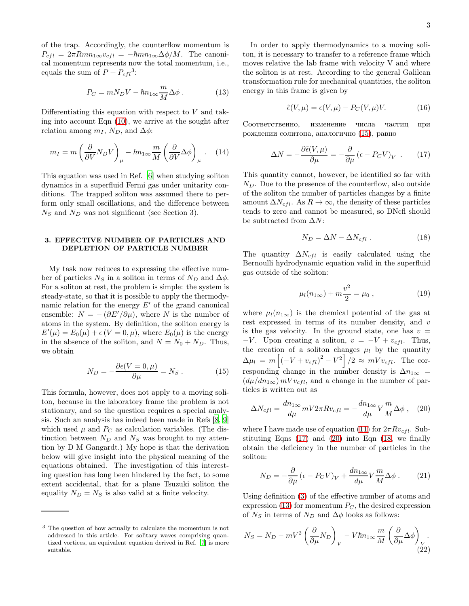of the trap. Accordingly, the counterflow momentum is  $P_{cfl} = 2\pi Rmn_{1\infty}v_{cfl} = -\hbar mn_{1\infty}\Delta\phi/M$ . The canonical momentum represents now the total momentum, i.e., equals the sum of  $P + P_{cfl}^3$ :

<span id="page-2-4"></span>
$$
P_C = mN_D V - \hbar n_{1\infty} \frac{m}{M} \Delta \phi . \qquad (13)
$$

Differentiating this equation with respect to  $V$  and taking into account Eqn [\(10\)](#page-1-2), we arrive at the sought after relation among  $m_I$ ,  $N_D$ , and  $\Delta \phi$ :

<span id="page-2-5"></span>
$$
m_I = m \left(\frac{\partial}{\partial V} N_D V\right)_{\mu} - \hbar n_{1\infty} \frac{m}{M} \left(\frac{\partial}{\partial V} \Delta \phi\right)_{\mu} . \quad (14)
$$

This equation was used in Ref. [\[6\]](#page-5-4) when studying soliton dynamics in a superfluid Fermi gas under unitarity conditions. The trapped soliton was assumed there to perform only small oscillations, and the difference between  $N<sub>S</sub>$  and  $N<sub>D</sub>$  was not significant (see Section 3).

## 3. EFFECTIVE NUMBER OF PARTICLES AND DEPLETION OF PARTICLE NUMBER

My task now reduces to expressing the effective number of particles  $N_S$  in a soliton in terms of  $N_D$  and  $\Delta \phi$ . For a soliton at rest, the problem is simple: the system is steady-state, so that it is possible to apply the thermodynamic relation for the energy  $E'$  of the grand canonical ensemble:  $N = -(\partial E'/\partial \mu)$ , where N is the number of atoms in the system. By definition, the soliton energy is  $E'(\mu) = E_0(\mu) + \epsilon (V = 0, \mu)$ , where  $E_0(\mu)$  is the energy in the absence of the soliton, and  $N = N_0 + N_D$ . Thus, we obtain

<span id="page-2-0"></span>
$$
N_D = -\frac{\partial \epsilon (V = 0, \mu)}{\partial \mu} = N_S . \qquad (15)
$$

This formula, however, does not apply to a moving soliton, because in the laboratory frame the problem is not stationary, and so the question requires a special analysis. Such an analysis has indeed been made in Refs [\[8,](#page-5-6) [9](#page-5-7)] which used  $\mu$  and  $P_C$  as calculation variables. (The distinction between  $N_D$  and  $N_S$  was brought to my attention by D M Gangardt.) My hope is that the derivation below will give insight into the physical meaning of the equations obtained. The investigation of this interesting question has long been hindered by the fact, to some extent accidental, that for a plane Tsuzuki soliton the equality  $N_D = N_S$  is also valid at a finite velocity.

In order to apply thermodynamics to a moving soliton, it is necessary to transfer to a reference frame which moves relative the lab frame with velocity V and where the soliton is at rest. According to the general Galilean transformation rule for mechanical quantities, the soliton energy in this frame is given by

$$
\tilde{\epsilon}(V,\mu) = \epsilon(V,\mu) - P_C(V,\mu)V. \tag{16}
$$

Соответственно, изменение числа частиц при рождении солитона, аналогично [\(15\)](#page-2-0), равно

<span id="page-2-1"></span>
$$
\Delta N = -\frac{\partial \tilde{\epsilon}(V,\mu)}{\partial \mu} = -\frac{\partial}{\partial \mu} (\epsilon - P_C V)_V . \quad (17)
$$

This quantity cannot, however, be identified so far with  $N_D$ . Due to the presence of the counterflow, also outside of the soliton the number of particles changes by a finite amount  $\Delta N_{cfl}$ . As  $R \to \infty$ , the density of these particles tends to zero and cannot be measured, so DNcfl should be subtracted from  $\Delta N$ :

<span id="page-2-3"></span>
$$
N_D = \Delta N - \Delta N_{cfl} \,. \tag{18}
$$

The quantity  $\Delta N_{cfl}$  is easily calculated using the Bernoulli hydrodynamic equation valid in the superfluid gas outside of the soliton:

$$
\mu_l(n_{1\infty}) + m \frac{v^2}{2} = \mu_0 , \qquad (19)
$$

where  $\mu_l(n_{1\infty})$  is the chemical potential of the gas at rest expressed in terms of its number density, and  $v$ is the gas velocity. In the ground state, one has  $v =$  $-V$ . Upon creating a soliton,  $v = -V + v_{cfl}$ . Thus, the creation of a soliton changes  $\mu_l$  by the quantity  $\Delta \mu_l = m \left[ (-V + v_{cfl})^2 - V^2 \right] / 2 \approx mV v_{cfl}$ . The corresponding change in the number density is  $\Delta n_{1\infty}$  =  $(d\mu/dn_{1\infty})$  mV $v_{cfl}$ , and a change in the number of particles is written out as

<span id="page-2-2"></span>
$$
\Delta N_{cfl} = \frac{dn_{1\infty}}{d\mu} mV 2\pi R v_{cfl} = -\frac{dn_{1\infty}}{d\mu} V \frac{m}{M} \Delta \phi , \quad (20)
$$

where I have made use of equation [\(11\)](#page-1-3) for  $2\pi Rv_{cfl}$ . Substituting Eqns  $(17)$  and  $(20)$  into Eqn  $(18)$ , we finally obtain the deficiency in the number of particles in the soliton:

<span id="page-2-6"></span>
$$
N_D = -\frac{\partial}{\partial \mu} (\epsilon - P_C V)_V + \frac{dn_{1\infty}}{d\mu} V \frac{m}{M} \Delta \phi .
$$
 (21)

Using definition [\(3\)](#page-0-1) of the effective number of atoms and expression [\(13\)](#page-2-4) for momentum  $P_C$ , the desired expression of  $N_S$  in terms of  $N_D$  and  $\Delta \phi$  looks as follows:

$$
N_S = N_D - mV^2 \left(\frac{\partial}{\partial \mu} N_D\right)_V - V\hbar n_{1\infty} \frac{m}{M} \left(\frac{\partial}{\partial \mu} \Delta \phi\right)_V.
$$
\n(22)

<sup>3</sup> The question of how actually to calculate the momentum is not addressed in this article. For solitary waves comprising quantized vortices, an equivalent equation derived in Ref. [\[7](#page-5-8)] is more suitable.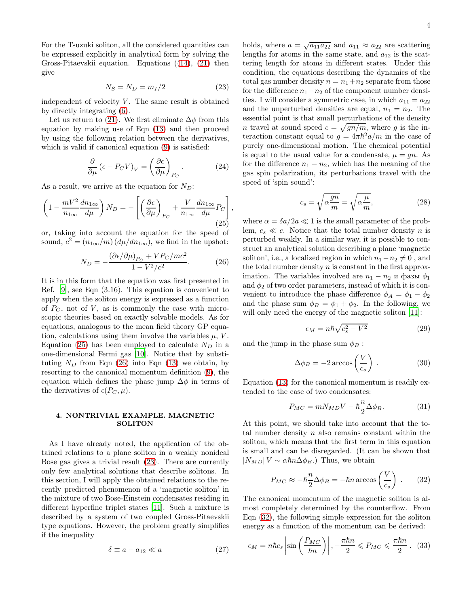For the Tsuzuki soliton, all the considered quantities can be expressed explicitly in analytical form by solving the Gross-Pitaevskii equation. Equations ([\(14\)](#page-2-5), [\(21\)](#page-2-6) then give

<span id="page-3-2"></span>
$$
N_S = N_D = m_I/2 \tag{23}
$$

independent of velocity  $V$ . The same result is obtained by directly integrating [\(6\)](#page-1-4).

Let us return to [\(21\)](#page-2-6). We first eliminate  $\Delta \phi$  from this equation by making use of Eqn [\(13\)](#page-2-4) and then proceed by using the following relation between the derivatives, which is valid if canonical equation [\(9\)](#page-1-5) is satisfied:

$$
\frac{\partial}{\partial \mu} \left( \epsilon - P_C V \right)_V = \left( \frac{\partial \epsilon}{\partial \mu} \right)_{P_C} . \tag{24}
$$

,

As a result, we arrive at the equation for  $N_D$ :

<span id="page-3-0"></span>
$$
\left(1 - \frac{mV^2}{n_{1\infty}} \frac{dn_{1\infty}}{d\mu}\right) N_D = -\left[\left(\frac{\partial \epsilon}{\partial \mu}\right)_{P_C} + \frac{V}{n_{1\infty}} \frac{dn_{1\infty}}{d\mu} P_C\right]
$$
\n(25)

or, taking into account the equation for the speed of sound,  $c^2 = (n_{1\infty}/m) (d\mu/dn_{1\infty})$ , we find in the upshot:

<span id="page-3-1"></span>
$$
N_D = -\frac{(\partial \epsilon/\partial \mu)_{P_C} + VP_C/mc^2}{1 - V^2/c^2}.
$$
 (26)

It is in this form that the equation was first presented in Ref. [\[9\]](#page-5-7), see Eqn (3.16). This equation is convenient to apply when the soliton energy is expressed as a function of  $P<sub>C</sub>$ , not of V, as is commonly the case with microscopic theories based on exactly solvable models. As for equations, analogous to the mean field theory GP equation, calculations using them involve the variables  $\mu$ ,  $V$ . Equation [\(25\)](#page-3-0) has been employed to calculate  $N_D$  in a one-dimensional Fermi gas [\[10](#page-5-9)]. Notice that by substituting  $N_D$  from Eqn [\(26\)](#page-3-1) into Eqn [\(13\)](#page-2-4) we obtain, by resorting to the canonical momentum definition [\(9\)](#page-1-5), the equation which defines the phase jump  $\Delta\phi$  in terms of the derivatives of  $\epsilon(P_C, \mu)$ .

### 4. NONTRIVIAL EXAMPLE. MAGNETIC **SOLITON**

As I have already noted, the application of the obtained relations to a plane soliton in a weakly nonideal Bose gas gives a trivial result [\(23\)](#page-3-2). There are currently only few analytical solutions that describe solitons. In this section, I will apply the obtained relations to the recently predicted phenomenon of a 'magnetic soliton' in the mixture of two Bose-Einstein condensates residing in different hyperfine triplet states [\[11\]](#page-5-10). Such a mixture is described by a system of two coupled Gross-Pitaevskii type equations. However, the problem greatly simplifies if the inequality

$$
\delta \equiv a - a_{12} \ll a \tag{27}
$$

holds, where  $a = \sqrt{a_{11} a_{22}}$  and  $a_{11} \approx a_{22}$  are scattering lengths for atoms in the same state, and  $a_{12}$  is the scattering length for atoms in different states. Under this condition, the equations describing the dynamics of the total gas number density  $n = n_1 + n_2$  separate from those for the difference  $n_1-n_2$  of the component number densities. I will consider a symmetric case, in which  $a_{11} = a_{22}$ and the unperturbed densities are equal,  $n_1 = n_2$ . The essential point is that small perturbations of the density *n* travel at sound speed  $c = \sqrt{gn/m}$ , where g is the interaction constant equal to  $g = 4\pi\hbar^2 a/m$  in the case of purely one-dimensional motion. The chemical potential is equal to the usual value for a condensate,  $\mu = gn$ . As for the difference  $n_1 - n_2$ , which has the meaning of the gas spin polarization, its perturbations travel with the speed of 'spin sound':

$$
c_s = \sqrt{\alpha \frac{gn}{m}} = \sqrt{\alpha \frac{\mu}{m}},\tag{28}
$$

where  $\alpha = \delta a/2a \ll 1$  is the small parameter of the problem,  $c_s \ll c$ . Notice that the total number density *n* is perturbed weakly. In a similar way, it is possible to construct an analytical solution describing a plane 'magnetic soliton', i.e., a localized region in which  $n_1 - n_2 \neq 0$ , and the total number density  $n$  is constant in the first approximation. The variables involved are  $n_1 - n_2$  и фазы  $\phi_1$ and  $\phi_2$  of two order parameters, instead of which it is convenient to introduce the phase difference  $\phi_A = \phi_1 - \phi_2$ and the phase sum  $\phi_B = \phi_1 + \phi_2$ . In the following, we will only need the energy of the magnetic soliton [\[11\]](#page-5-10):

<span id="page-3-4"></span>
$$
\epsilon_M = n\hbar\sqrt{c_s^2 - V^2} \tag{29}
$$

and the jump in the phase sum  $\phi_B$ :

$$
\Delta \phi_B = -2 \arccos\left(\frac{V}{c_s}\right) \,. \tag{30}
$$

Equation [\(13\)](#page-2-4) for the canonical momentum is readily extended to the case of two condensates:

$$
P_{MC} = mN_{MD}V - \hbar \frac{n}{2} \Delta \phi_B.
$$
 (31)

At this point, we should take into account that the total number density  $n$  also remains constant within the soliton, which means that the first term in this equation is small and can be disregarded. (It can be shown that  $|N_{MD}| V \sim \alpha \hbar n \Delta \phi_B$ .) Thus, we obtain

<span id="page-3-3"></span>
$$
P_{MC} \approx -\hbar \frac{n}{2} \Delta \phi_B = -\hbar n \arccos\left(\frac{V}{c_s}\right) \,. \tag{32}
$$

The canonical momentum of the magnetic soliton is almost completely determined by the counterflow. From Eqn [\(32\)](#page-3-3), the following simple expression for the soliton energy as a function of the momentum can be derived:

$$
\epsilon_M = n\hbar c_s \left| \sin\left(\frac{P_{MC}}{\hbar n}\right) \right|, -\frac{\pi \hbar n}{2} \le P_{MC} \le \frac{\pi \hbar n}{2} \ . \tag{33}
$$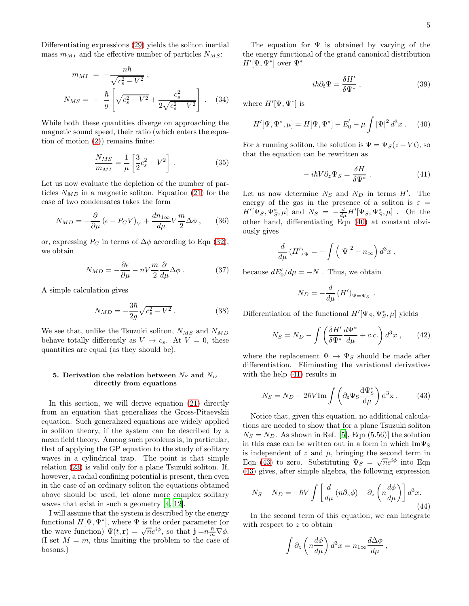Differentiating expressions [\(29\)](#page-3-4) yields the soliton inertial mass  $m_{MI}$  and the effective number of particles  $N_{MS}$ :

$$
m_{MI} = -\frac{n\hbar}{\sqrt{c_s^2 - V^2}},
$$
  

$$
N_{MS} = -\frac{\hbar}{g} \left[ \sqrt{c_s^2 - V^2} + \frac{c_s^2}{2\sqrt{c_s^2 - V^2}} \right].
$$
 (34)

While both these quantities diverge on approaching the magnetic sound speed, their ratio (which enters the equation of motion [\(2\)](#page-0-2)) remains finite:

$$
\frac{N_{MS}}{m_{MI}} = \frac{1}{\mu} \left[ \frac{3}{2} c_s^2 - V^2 \right] \,. \tag{35}
$$

Let us now evaluate the depletion of the number of particles  $N_{MD}$  in a magnetic soliton. Equation [\(21\)](#page-2-6) for the case of two condensates takes the form

$$
N_{MD} = -\frac{\partial}{\partial \mu} \left( \epsilon - P_C V \right)_V + \frac{dn_{1\infty}}{d\mu} V \frac{m}{2} \Delta \phi , \quad (36)
$$

or, expressing  $P_C$  in terms of  $\Delta \phi$  according to Eqn [\(32\)](#page-3-3), we obtain

$$
N_{MD} = -\frac{\partial \epsilon}{\partial \mu} - nV \frac{m}{2} \frac{\partial}{d\mu} \Delta \phi . \qquad (37)
$$

A simple calculation gives

$$
N_{MD} = -\frac{3\hbar}{2g}\sqrt{c_s^2 - V^2} \,. \tag{38}
$$

We see that, unlike the Tsuzuki soliton,  $N_{MS}$  and  $N_{MD}$ behave totally differently as  $V \to c_s$ . At  $V = 0$ , these quantities are equal (as they should be).

### 5. Derivation the relation between  $N_S$  and  $N_D$ directly from equations

In this section, we will derive equation [\(21\)](#page-2-6) directly from an equation that generalizes the Gross-Pitaevskii equation. Such generalized equations are widely applied in soliton theory, if the system can be described by a mean field theory. Among such problems is, in particular, that of applying the GP equation to the study of solitary waves in a cylindrical trap. The point is that simple relation [\(23\)](#page-3-2) is valid only for a plane Tsuzuki soliton. If, however, a radial confining potential is present, then even in the case of an ordinary soliton the equations obtained above should be used, let alone more complex solitary waves that exist in such a geometry [\[4](#page-5-3), [12](#page-5-11)].

I will assume that the system is described by the energy functional  $H[\Psi, \Psi^*]$ , where  $\Psi$  is the order parameter (or the wave function)  $\Psi(t, \mathbf{r}) = \sqrt{n}e^{i\phi}$ , so that  $\mathbf{j} = n\frac{\hbar}{m}\nabla\phi$ . (I set  $M = m$ , thus limiting the problem to the case of bosons.)

The equation for  $\Psi$  is obtained by varying of the the energy functional of the grand canonical distribution  $H'[\Psi,\Psi^*]$  over  $\Psi^*$ 

$$
i\hbar \partial_t \Psi = \frac{\delta H'}{\delta \Psi^*} \,, \tag{39}
$$

where  $H'[\Psi, \Psi^*]$  is

<span id="page-4-0"></span>
$$
H'[\Psi, \Psi^*, \mu] = H[\Psi, \Psi^*] - E'_0 - \mu \int |\Psi|^2 d^3 x \,. \tag{40}
$$

For a running soliton, the solution is  $\Psi = \Psi_S(z - Vt)$ , so that the equation can be rewritten as

<span id="page-4-1"></span>
$$
-i\hbar V \partial_z \Psi_S = \frac{\delta H}{\delta \Psi^*} \,. \tag{41}
$$

Let us now determine  $N_S$  and  $N_D$  in terms  $H'$ . The energy of the gas in the presence of a soliton is  $\varepsilon =$  $H'[\bar{\Psi}_S, \Psi_S^*, \mu]$  and  $N_S = -\frac{d}{d\mu} H'[\Psi_S, \Psi_S^*, \mu]$ . On the other hand, differentiating Eqn [\(40\)](#page-4-0) at constant obviously gives

$$
\frac{d}{d\mu} (H')_{\Psi} = -\int \left( \left|\Psi\right|^2 - n_{\infty} \right) d^3 x ,
$$

because  $dE'_0/d\mu = -N$ . Thus, we obtain

$$
N_D = -\frac{d}{d\mu} (H')_{\Psi = \Psi_S} .
$$

Differentiation of the functional  $H'[\Psi_S, \Psi_S^*, \mu]$  yields

$$
N_S = N_D - \int \left( \frac{\delta H'}{\delta \Psi^*} \frac{d\Psi^*}{d\mu} + c.c. \right) d^3 x \,, \tag{42}
$$

where the replacement  $\Psi \to \Psi_S$  should be made after differentiation. Eliminating the variational derivatives with the help [\(41\)](#page-4-1) results in

<span id="page-4-2"></span>
$$
N_S = N_D - 2\hbar V \text{Im} \int \left( \partial_z \Psi_S \frac{\mathrm{d}\Psi_S^*}{\mathrm{d}\mu} \right) \mathrm{d}^3 \mathbf{x} . \tag{43}
$$

Notice that, given this equation, no additional calculations are needed to show that for a plane Tsuzuki soliton  $N_S = N_D$ . As shown in Ref. [\[5](#page-5-5)], Eqn (5.56)] the solution in this case can be written out in a form in which  $\text{Im}\Psi_{\text{S}}$ is independent of  $z$  and  $\mu$ , bringing the second term in Eqn [\(43\)](#page-4-2) to zero. Substituting  $\Psi_S = \sqrt{n}e^{i\phi}$  into Eqn [\(43\)](#page-4-2) gives, after simple algebra, the following expression

$$
N_S - N_D = -\hbar V \int \left[ \frac{d}{d\mu} \left( n \partial_z \phi \right) - \partial_z \left( n \frac{d\phi}{d\mu} \right) \right] d^3 x. \tag{44}
$$

In the second term of this equation, we can integrate with respect to z to obtain

$$
\int \partial_z \left( n \frac{d\phi}{d\mu} \right) d^3x = n_{1\infty} \frac{d\Delta\phi}{d\mu} ,
$$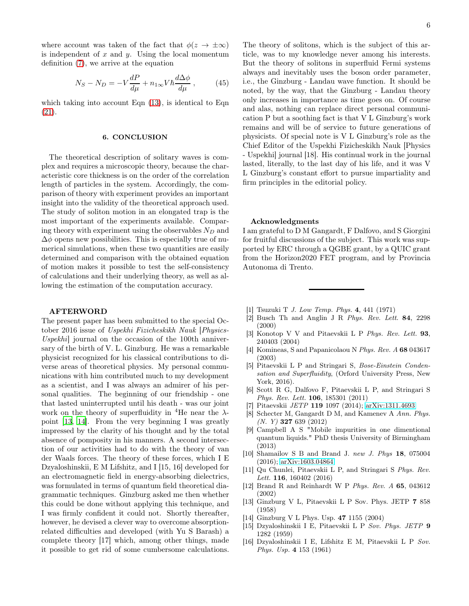where account was taken of the fact that  $\phi(z \to \pm \infty)$ is independent of  $x$  and  $y$ . Using the local momentum definition [\(7\)](#page-1-0), we arrive at the equation

$$
N_S - N_D = -V \frac{dP}{d\mu} + n_{1\infty} V \hbar \frac{d\Delta\phi}{d\mu} , \qquad (45)
$$

which taking into account Eqn  $(13)$ , is identical to Eqn [\(21\)](#page-2-6).

#### 6. CONCLUSION

The theoretical description of solitary waves is complex and requires a microscopic theory, because the characteristic core thickness is on the order of the correlation length of particles in the system. Accordingly, the comparison of theory with experiment provides an important insight into the validity of the theoretical approach used. The study of soliton motion in an elongated trap is the most important of the experiments available. Comparing theory with experiment using the observables  $N_D$  and  $\Delta\phi$  opens new possibilities. This is especially true of numerical simulations, when these two quantities are easily determined and comparison with the obtained equation of motion makes it possible to test the self-consistency of calculations and their underlying theory, as well as allowing the estimation of the computation accuracy.

#### AFTERWORD

The present paper has been submitted to the special October 2016 issue of Uspekhi Fizicheskikh Nauk [Physics-Uspekhi] journal on the occasion of the 100th anniversary of the birth of V. L. Ginzburg. He was a remarkable physicist recognized for his classical contributions to diverse areas of theoretical physics. My personal communications with him contributed much to my development as a scientist, and I was always an admirer of his personal qualities. The beginning of our friendship - one that lasted uninterrupted until his death - was our joint work on the theory of superfluidity in <sup>4</sup>He near the  $\lambda$ point [\[13,](#page-5-12) [14](#page-5-13)]. From the very beginning I was greatly impressed by the clarity of his thought and by the total absence of pomposity in his manners. A second intersection of our activities had to do with the theory of van der Waals forces. The theory of these forces, which I E Dzyaloshinskii, E M Lifshitz, and I [15, 16] developed for an electromagnetic field in energy-absorbing dielectrics, was formulated in terms of quantum field theoretical diagrammatic techniques. Ginzburg asked me then whether this could be done without applying this technique, and I was firmly confident it could not. Shortly thereafter, however, he devised a clever way to overcome absorptionrelated difficulties and developed (with Yu S Barash) a complete theory [17] which, among other things, made it possible to get rid of some cumbersome calculations.

The theory of solitons, which is the subject of this article, was to my knowledge never among his interests. But the theory of solitons in superfluid Fermi systems always and inevitably uses the boson order parameter, i.e., the Ginzburg - Landau wave function. It should be noted, by the way, that the Ginzburg - Landau theory only increases in importance as time goes on. Of course and alas, nothing can replace direct personal communication Р but a soothing fact is that V L Ginzburg's work remains and will be of service to future generations of physicists. Of special note is V L Ginzburg's role as the Chief Editor of the Uspekhi Fizicheskikh Nauk [Physics - Uspekhi] journal [18]. His continual work in the journal lasted, literally, to the last day of his life, and it was V L Ginzburg's constant effort to pursue impartiality and firm principles in the editorial policy.

#### Acknowledgments

I am grateful to D M Gangardt, F Dalfovo, and S Giorgini for fruitful discussions of the subject. This work was supported by ERC through a QGBE grant, by a QUIC grant from the Horizon2020 FET program, and by Provincia Autonoma di Trento.

- <span id="page-5-0"></span>[1] Tsuzuki T J. Low Temp. Phys. 4, 441 (1971)
- <span id="page-5-1"></span>[2] Busch Th and Anglin J R Phys. Rev. Lett. 84, 2298 (2000)
- <span id="page-5-2"></span>[3] Konotop V V and Pitaevskii L P Phys. Rev. Lett. 93, 240403 (2004)
- <span id="page-5-3"></span>[4] Komineas, S and Papanicolaou N Phys. Rev. A 68 043617 (2003)
- <span id="page-5-5"></span>[5] Pitaevskii L P and Stringari S, Bose-Einstein Condensation and Superfluidity, (Orford University Press, New York, 2016).
- <span id="page-5-4"></span>[6] Scott R G, Dalfovo F, Pitaevskii L P, and Stringari S Phys. Rev. Lett. 106, 185301 (2011)
- <span id="page-5-8"></span>[7] Pitaevskii JETP 119 1097 (2014); [arXiv:1311.4693](http://arxiv.org/abs/1311.4693)
- <span id="page-5-6"></span>[8] Schecter M, Gangardt D M, and Kamenev A Ann. Phys.  $(N. Y)$  327 639 (2012)
- <span id="page-5-7"></span>[9] Campbell A S "Mobile impurities in one dimentional quantum liquids." PhD thesis University of Birmingham (2013)
- <span id="page-5-9"></span>[10] Shamailov S B and Brand J. new J. Phys 18, 075004 (2016); [arXiv:1603.04864](http://arxiv.org/abs/1603.04864)
- <span id="page-5-10"></span>[11] Qu Chunlei, Pitaevskii L P, and Stringari S Phys. Rev. Lett. **116**, 160402 (2016)
- <span id="page-5-11"></span>[12] Brand R and Reinhardt W P Phys. Rev. A 65, 043612 (2002)
- <span id="page-5-12"></span>[13] Ginzburg V L, Pitaevskii L P Sov. Phys. JETP 7 858 (1958)
- <span id="page-5-13"></span>[14] Ginzburg V L Phys. Usp. 47 1155 (2004)
- [15] Dzyaloshinskii I E, Pitaevskii L P Sov. Phys. JETP 9 1282 (1959)
- [16] Dzyaloshinskii I E, Lifshitz E M, Pitaevskii L P Sov. Phys. Usp. 4 153 (1961)